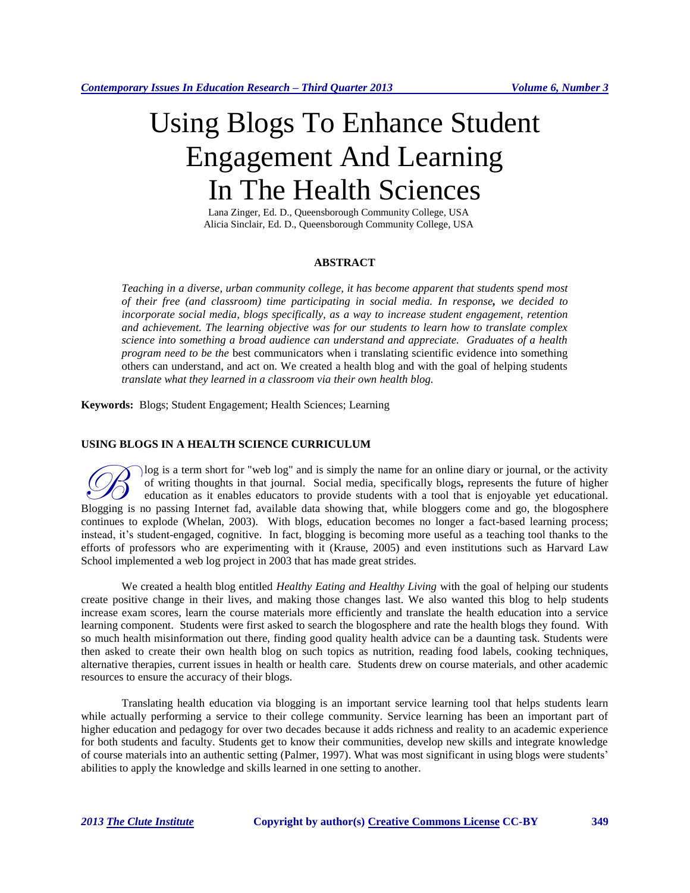# Using Blogs To Enhance Student Engagement And Learning In The Health Sciences

Lana Zinger, Ed. D., Queensborough Community College, USA Alicia Sinclair, Ed. D., Queensborough Community College, USA

# **ABSTRACT**

*Teaching in a diverse, urban community college, it has become apparent that students spend most of their free (and classroom) time participating in social media. In response, we decided to incorporate social media, blogs specifically, as a way to increase student engagement, retention and achievement. The learning objective was for our students to learn how to translate complex science into something a broad audience can understand and appreciate. Graduates of a health program need to be the* best communicators when i translating scientific evidence into something others can understand, and act on. We created a health blog and with the goal of helping students *translate what they learned in a classroom via their own health blog.*

**Keywords:** Blogs; Student Engagement; Health Sciences; Learning

### **USING BLOGS IN A HEALTH SCIENCE CURRICULUM**

log is a term short for "web log" and is simply the name for an online diary or journal, or the activity of writing thoughts in that journal. Social media, specifically blogs**,** represents the future of higher education as it enables educators to provide students with a tool that is enjoyable yet educational. Blogging is a term short for "web log" and is simply the name for an online diary or journal, or the activity of writing thoughts in that journal. Social media, specifically blogs, represents the future of higher education continues to explode (Whelan, 2003). With blogs, education becomes no longer a fact-based learning process; instead, it's student-engaged, cognitive. In fact, blogging is becoming more useful as a teaching tool thanks to the efforts of professors who are experimenting with it (Krause, 2005) and even institutions such as Harvard Law School implemented a web log project in 2003 that has made great strides.

We created a health blog entitled *Healthy Eating and Healthy Living* with the goal of helping our students create positive change in their lives, and making those changes last. We also wanted this blog to help students increase exam scores, learn the course materials more efficiently and translate the health education into a service learning component. Students were first asked to search the blogosphere and rate the health blogs they found. With so much health misinformation out there, finding good quality health advice can be a daunting task. Students were then asked to create their own health blog on such topics as nutrition, reading food labels, cooking techniques, alternative therapies, current issues in health or health care. Students drew on course materials, and other academic resources to ensure the accuracy of their blogs.

Translating health education via blogging is an important service learning tool that helps students learn while actually performing a service to their college community. Service learning has been an important part of higher education and pedagogy for over two decades because it adds richness and reality to an academic experience for both students and faculty. Students get to know their communities, develop new skills and integrate knowledge of course materials into an authentic setting (Palmer, 1997). What was most significant in using blogs were students' abilities to apply the knowledge and skills learned in one setting to another.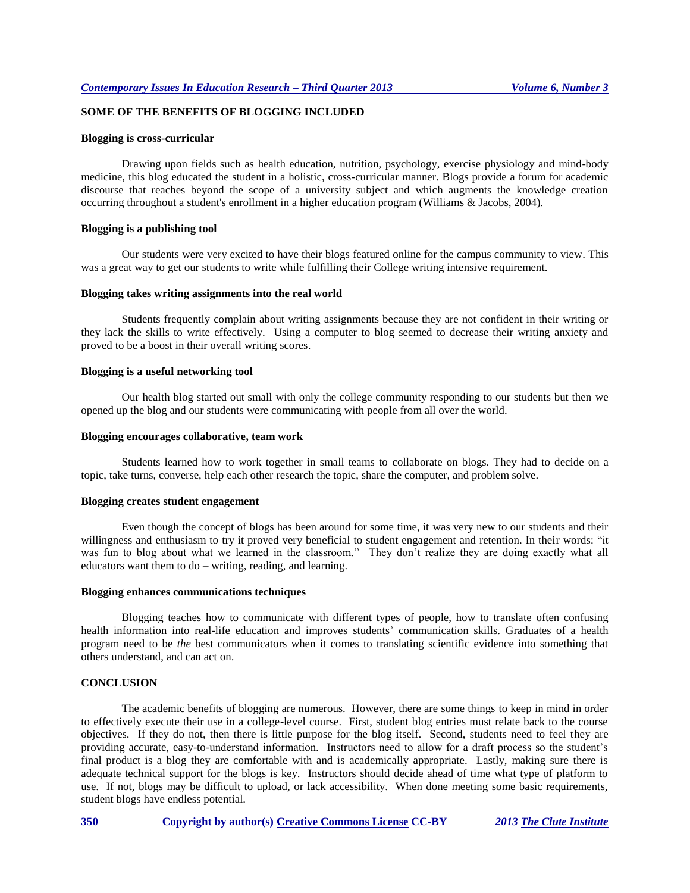# **SOME OF THE BENEFITS OF BLOGGING INCLUDED**

#### **Blogging is cross-curricular**

Drawing upon fields such as health education, nutrition, psychology, exercise physiology and mind-body medicine, this blog educated the student in a holistic, cross-curricular manner. Blogs provide a forum for academic discourse that reaches beyond the scope of a university subject and which augments the knowledge creation occurring throughout a student's enrollment in a higher education program (Williams & Jacobs, 2004).

## **Blogging is a publishing tool**

Our students were very excited to have their blogs featured online for the campus community to view. This was a great way to get our students to write while fulfilling their College writing intensive requirement.

#### **Blogging takes writing assignments into the real world**

Students frequently complain about writing assignments because they are not confident in their writing or they lack the skills to write effectively. Using a computer to blog seemed to decrease their writing anxiety and proved to be a boost in their overall writing scores.

## **Blogging is a useful networking tool**

Our health blog started out small with only the college community responding to our students but then we opened up the blog and our students were communicating with people from all over the world.

#### **Blogging encourages collaborative, team work**

Students learned how to work together in small teams to collaborate on blogs. They had to decide on a topic, take turns, converse, help each other research the topic, share the computer, and problem solve.

## **Blogging creates student engagement**

Even though the concept of blogs has been around for some time, it was very new to our students and their willingness and enthusiasm to try it proved very beneficial to student engagement and retention. In their words: "it was fun to blog about what we learned in the classroom." They don't realize they are doing exactly what all educators want them to do – writing, reading, and learning.

#### **Blogging enhances communications techniques**

Blogging teaches how to communicate with different types of people, how to translate often confusing health information into real-life education and improves students' communication skills. Graduates of a health program need to be *the* best communicators when it comes to translating scientific evidence into something that others understand, and can act on.

## **CONCLUSION**

The academic benefits of blogging are numerous. However, there are some things to keep in mind in order to effectively execute their use in a college-level course. First, student blog entries must relate back to the course objectives. If they do not, then there is little purpose for the blog itself. Second, students need to feel they are providing accurate, easy-to-understand information. Instructors need to allow for a draft process so the student's final product is a blog they are comfortable with and is academically appropriate. Lastly, making sure there is adequate technical support for the blogs is key. Instructors should decide ahead of time what type of platform to use. If not, blogs may be difficult to upload, or lack accessibility. When done meeting some basic requirements, student blogs have endless potential.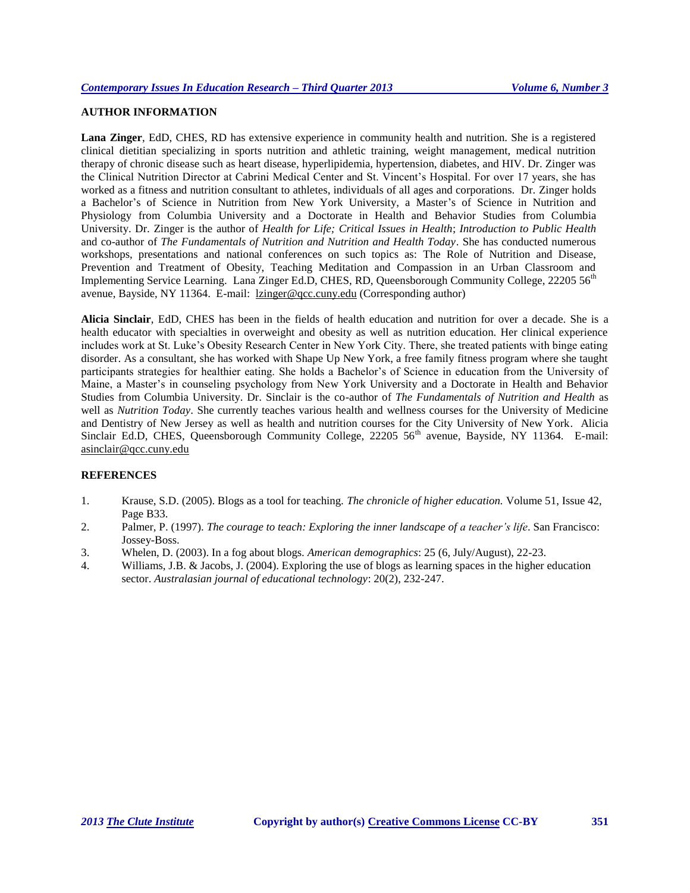# **AUTHOR INFORMATION**

**Lana Zinger**, EdD, CHES, RD has extensive experience in community health and nutrition. She is a registered clinical dietitian specializing in sports nutrition and athletic training, weight management, medical nutrition therapy of chronic disease such as heart disease, hyperlipidemia, hypertension, diabetes, and HIV. Dr. Zinger was the Clinical Nutrition Director at Cabrini Medical Center and St. Vincent's Hospital. For over 17 years, she has worked as a fitness and nutrition consultant to athletes, individuals of all ages and corporations. Dr. Zinger holds a Bachelor's of Science in Nutrition from New York University, a Master's of Science in Nutrition and Physiology from Columbia University and a Doctorate in Health and Behavior Studies from Columbia University. Dr. Zinger is the author of *Health for Life; Critical Issues in Health*; *Introduction to Public Health* and co-author of *The Fundamentals of Nutrition and Nutrition and Health Today*. She has conducted numerous workshops, presentations and national conferences on such topics as: The Role of Nutrition and Disease, Prevention and Treatment of Obesity, Teaching Meditation and Compassion in an Urban Classroom and Implementing Service Learning. Lana Zinger Ed.D, CHES, RD, Queensborough Community College, 22205 56<sup>th</sup> avenue, Bayside, NY 11364. E-mail: [lzinger@qcc.cuny.edu](mailto:lzinger@qcc.cuny.edu) (Corresponding author)

**Alicia Sinclair**, EdD, CHES has been in the fields of health education and nutrition for over a decade. She is a health educator with specialties in overweight and obesity as well as nutrition education. Her clinical experience includes work at St. Luke's Obesity Research Center in New York City. There, she treated patients with binge eating disorder. As a consultant, she has worked with Shape Up New York, a free family fitness program where she taught participants strategies for healthier eating. She holds a Bachelor's of Science in education from the University of Maine, a Master's in counseling psychology from New York University and a Doctorate in Health and Behavior Studies from Columbia University. Dr. Sinclair is the co-author of *The Fundamentals of Nutrition and Health* as well as *Nutrition Today*. She currently teaches various health and wellness courses for the University of Medicine and Dentistry of New Jersey as well as health and nutrition courses for the City University of New York. Alicia Sinclair Ed.D, CHES, Queensborough Community College, 22205 56<sup>th</sup> avenue, Bayside, NY 11364. E-mail: [asinclair@qcc.cuny.edu](mailto:asinclair@qcc.cuny.edu)

## **REFERENCES**

- 1. Krause, S.D. (2005). Blogs as a tool for teaching. *The chronicle of higher education.* Volume 51, Issue 42, Page B33.
- 2. Palmer, P. (1997). *The courage to teach: Exploring the inner landscape of a teacher's life*. San Francisco: Jossey-Boss.
- 3. Whelen, D. (2003). In a fog about blogs. *American demographics*: 25 (6, July/August), 22-23.
- 4. Williams, J.B. & Jacobs, J. (2004). Exploring the use of blogs as learning spaces in the higher education sector. *Australasian journal of educational technology*: 20(2), 232-247.